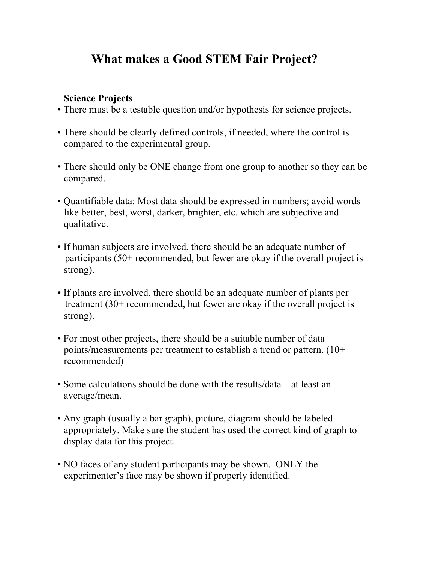# **What makes a Good STEM Fair Project?**

## **Science Projects**

- There must be a testable question and/or hypothesis for science projects.
- There should be clearly defined controls, if needed, where the control is compared to the experimental group.
- There should only be ONE change from one group to another so they can be compared.
- Quantifiable data: Most data should be expressed in numbers; avoid words like better, best, worst, darker, brighter, etc. which are subjective and qualitative.
- If human subjects are involved, there should be an adequate number of participants (50+ recommended, but fewer are okay if the overall project is strong).
- If plants are involved, there should be an adequate number of plants per treatment (30+ recommended, but fewer are okay if the overall project is strong).
- For most other projects, there should be a suitable number of data points/measurements per treatment to establish a trend or pattern. (10+ recommended)
- Some calculations should be done with the results/data at least an average/mean.
- Any graph (usually a bar graph), picture, diagram should be labeled appropriately. Make sure the student has used the correct kind of graph to display data for this project.
- NO faces of any student participants may be shown. ONLY the experimenter's face may be shown if properly identified.